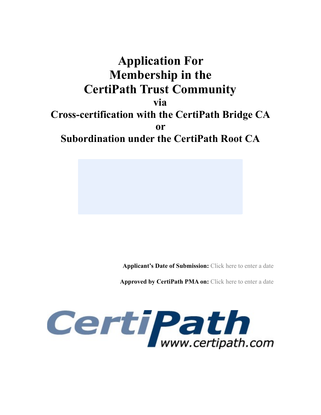# **Application For Membership in the CertiPath Trust Community**

**via** 

**Cross-certification with the CertiPath Bridge CA** 

**or** 

**Subordination under the CertiPath Root CA** 

**Applicant's Date of Submission:** Click here to enter a date

**Approved by CertiPath PMA on:** Click here to enter a date

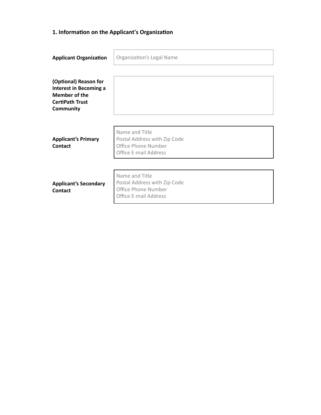# 1. Information on the Applicant's Organization

| <b>Applicant Organization</b>                                                                                         | <b>Organization's Legal Name</b>                                                                      |  |
|-----------------------------------------------------------------------------------------------------------------------|-------------------------------------------------------------------------------------------------------|--|
| (Optional) Reason for<br><b>Interest in Becoming a</b><br>Member of the<br><b>CertiPath Trust</b><br><b>Community</b> |                                                                                                       |  |
| <b>Applicant's Primary</b><br>Contact                                                                                 | Name and Title<br>Postal Address with Zip Code<br>Office Phone Number<br><b>Office E-mail Address</b> |  |
| <b>Applicant's Secondary</b><br><b>Contact</b>                                                                        | Name and Title<br>Postal Address with Zip Code<br>Office Phone Number<br><b>Office E-mail Address</b> |  |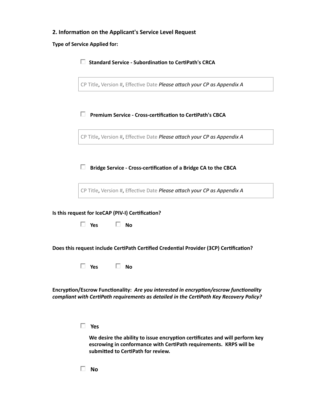# 2. Information on the Applicant's Service Level Request

**Type of Service Applied for:** 

| П.<br><b>Standard Service - Subordination to CertiPath's CRCA</b>                                                                                                                                     |
|-------------------------------------------------------------------------------------------------------------------------------------------------------------------------------------------------------|
| CP Title, Version #, Effective Date Please attach your CP as Appendix A                                                                                                                               |
| П.<br><b>Premium Service - Cross-certification to CertiPath's CBCA</b>                                                                                                                                |
| CP Title, Version #, Effective Date Please attach your CP as Appendix A                                                                                                                               |
| П<br>Bridge Service - Cross-certification of a Bridge CA to the CBCA                                                                                                                                  |
| CP Title, Version #, Effective Date Please attach your CP as Appendix A                                                                                                                               |
| Is this request for IceCAP (PIV-I) Certification?<br>$\square$ No<br>$\Box$ Yes                                                                                                                       |
| Does this request include CertiPath Certified Credential Provider (3CP) Certification?                                                                                                                |
| $\Box$ Yes $\Box$ No                                                                                                                                                                                  |
| Encryption/Escrow Functionality: Are you interested in encryption/escrow functionality<br>compliant with CertiPath requirements as detailed in the CertiPath Key Recovery Policy?                     |
| $\Box$ Yes<br>We desire the ability to issue encryption certificates and will perform key<br>escrowing in conformance with CertiPath requirements. KRPS will be<br>submitted to CertiPath for review. |

 $\square$  No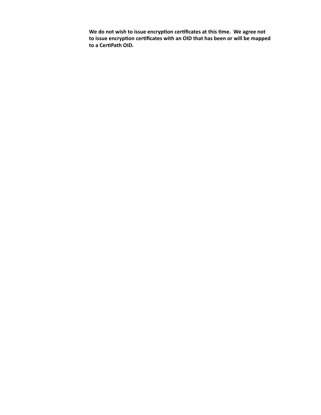We do not wish to issue encryption certificates at this time. We agree not to issue encryption certificates with an OID that has been or will be mapped to a CertiPath OID.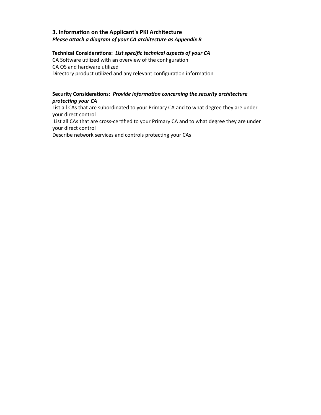## **3. Information on the Applicant's PKI Architecture** *Please attach a diagram of your CA architecture as Appendix B*

#### Technical Considerations: List specific technical aspects of your CA

CA Software utilized with an overview of the configuration CA OS and hardware utilized Directory product utilized and any relevant configuration information

#### Security Considerations: *Provide information concerning the security architecture protecting your CA*

List all CAs that are subordinated to your Primary CA and to what degree they are under your direct control

List all CAs that are cross-certified to your Primary CA and to what degree they are under your direct control

Describe network services and controls protecting your CAs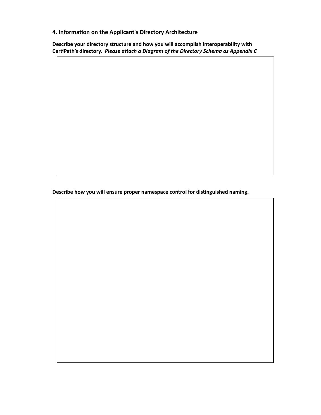**4. Information on the Applicant's Directory Architecture** 

Describe your directory structure and how you will accomplish interoperability with CertiPath's directory. Please attach a Diagram of the Directory Schema as Appendix C

Describe how you will ensure proper namespace control for distinguished naming.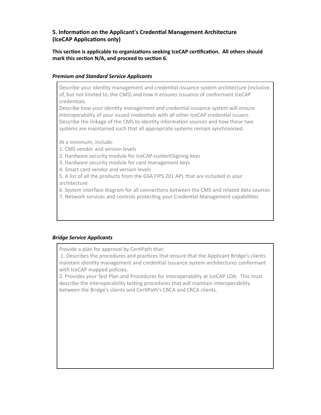# **5. Information on the Applicant's Credential Management Architecture (IceCAP Applications only)**

#### This section is applicable to organizations seeking IceCAP certification. All others should mark this section N/A, and proceed to section 6.

#### *Premium and Standard Service Applicants*

Describe your identity management and credential issuance system architecture (inclusive of, but not limited to, the CMS) and how it ensures issuance of conformant IceCAP credentials.

Describe how your identity management and credential issuance system will ensure interoperability of your issued credentials with all other IceCAP credential issuers. Describe the linkage of the CMS to identity information sources and how these two systems are maintained such that all appropriate systems remain synchronized.

At a minimum, include:

- 1. CMS vendor and version levels
- 2. Hardware security module for IceCAP-contentSigning keys
- 3. Hardware security module for card management keys
- 4. Smart card vendor and version levels

5. A list of all the products from the GSA FIPS 201 APL that are included in your architecture 

6. System interface diagram for all connections between the CMS and related data sources

7. Network services and controls protecting your Credential Management capabilities

#### *Bridge Service Applicants*

Provide a plan for approval by CertiPath that:

1. Describes the procedures and practices that ensure that the Applicant Bridge's clients maintain identity management and credential issuance system architectures conformant with IceCAP mapped policies.

2. Provides your Test Plan and Procedures for interoperability at IceCAP LOA. This must describe the interoperability testing procedures that will maintain interoperability between the Bridge's clients and CertiPath's CBCA and CRCA clients.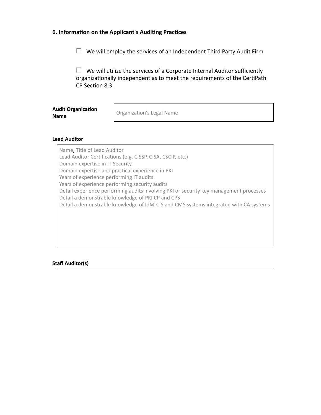#### 6. Information on the Applicant's Auditing Practices

 $\Box$  We will employ the services of an Independent Third Party Audit Firm

 $\Box$  We will utilize the services of a Corporate Internal Auditor sufficiently organizationally independent as to meet the requirements of the CertiPath CP Section 8.3.

| <b>Audit Organization</b> |  |  |
|---------------------------|--|--|
| <b>Name</b>               |  |  |

Organization's Legal Name

#### **Lead Auditor**

Name, Title of Lead Auditor Lead Auditor Certifications (e.g. CISSP, CISA, CSCIP, etc.) Domain expertise in IT Security Domain expertise and practical experience in PKI Years of experience performing IT audits Years of experience performing security audits Detail experience performing audits involving PKI or security key management processes Detail a demonstrable knowledge of PKI CP and CPS Detail a demonstrable knowledge of IdM-CIS and CMS systems integrated with CA systems

#### **Staff Auditor(s)**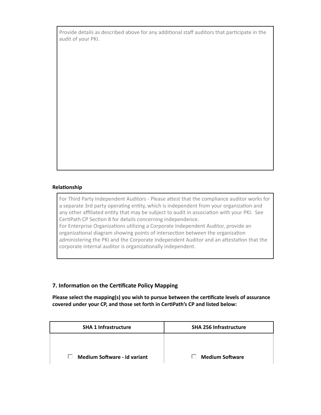Provide details as described above for any additional staff auditors that participate in the audit of your PKI.

#### **Relationship**

For Third Party Independent Auditors - Please attest that the compliance auditor works for a separate 3rd party operating entity, which is independent from your organization and any other affiliated entity that may be subject to audit in association with your PKI. See CertiPath CP Section 8 for details concerning independence. For Enterprise Organizations utilizing a Corporate Independent Auditor, provide an organizational diagram showing points of intersection between the organization

administering the PKI and the Corporate Independent Auditor and an attestation that the corporate internal auditor is organizationally independent.

## **7. Information on the Certificate Policy Mapping**

Please select the mapping(s) you wish to pursue between the certificate levels of assurance covered under your CP, and those set forth in CertiPath's CP and listed below:

| <b>SHA 1 Infrastructure</b>         | <b>SHA 256 Infrastructure</b> |
|-------------------------------------|-------------------------------|
|                                     |                               |
| <b>Medium Software - id variant</b> | <b>Medium Software</b>        |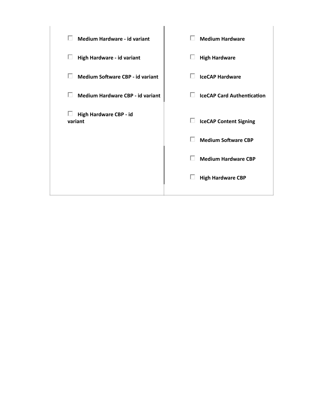| <b>Medium Hardware - id variant</b>     | п<br><b>Medium Hardware</b>            |
|-----------------------------------------|----------------------------------------|
| High Hardware - id variant              | П<br><b>High Hardware</b>              |
| <b>Medium Software CBP - id variant</b> | п<br><b>IceCAP Hardware</b>            |
| Medium Hardware CBP - id variant        | п<br><b>IceCAP Card Authentication</b> |
| ш<br>High Hardware CBP - id<br>variant  | П<br><b>IceCAP Content Signing</b>     |
|                                         | п<br><b>Medium Software CBP</b>        |
|                                         | <b>Medium Hardware CBP</b>             |
|                                         | L<br><b>High Hardware CBP</b>          |
|                                         |                                        |